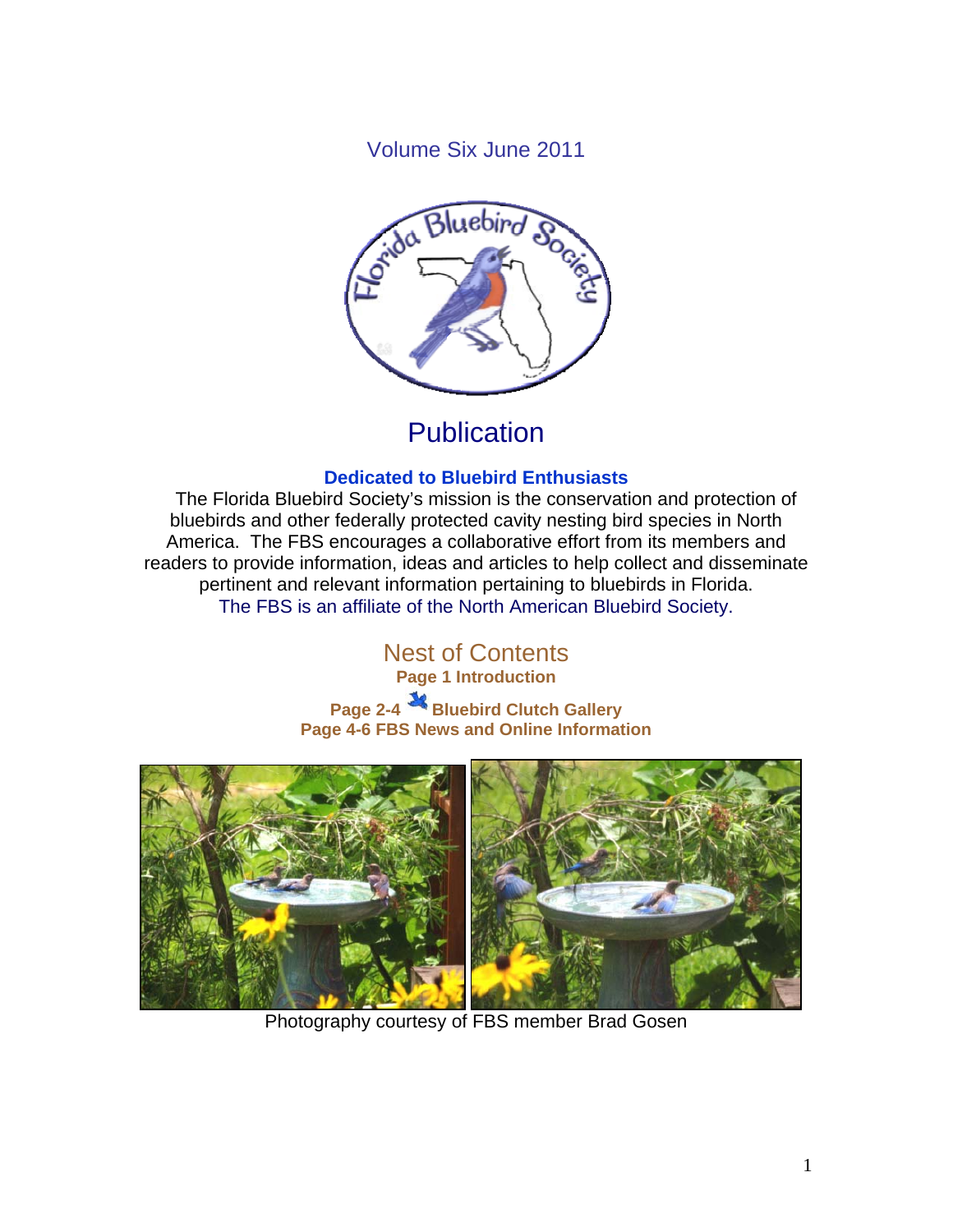Volume Six June 2011



# **Publication**

### **Dedicated to Bluebird Enthusiasts**

 The Florida Bluebird Society's mission is the conservation and protection of bluebirds and other federally protected cavity nesting bird species in North America. The FBS encourages a collaborative effort from its members and readers to provide information, ideas and articles to help collect and disseminate pertinent and relevant information pertaining to bluebirds in Florida. The FBS is an affiliate of the North American Bluebird Society.

> Nest of Contents **Page 1 Introduction**

**Page 2-4 Bluebird Clutch Gallery Page 4-6 FBS News and Online Information** 



Photography courtesy of FBS member Brad Gosen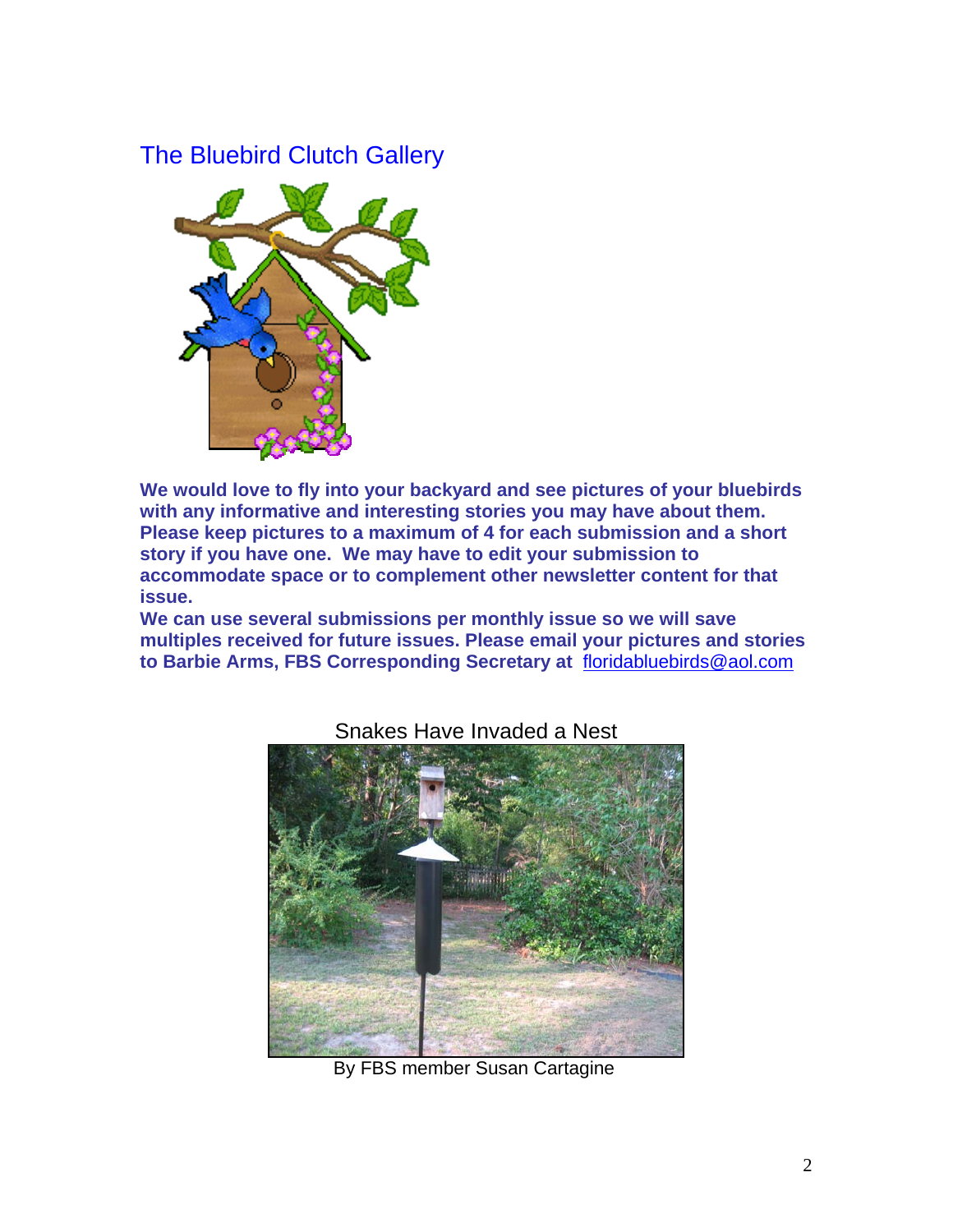## The Bluebird Clutch Gallery



**We would love to fly into your backyard and see pictures of your bluebirds with any informative and interesting stories you may have about them. Please keep pictures to a maximum of 4 for each submission and a short story if you have one. We may have to edit your submission to accommodate space or to complement other newsletter content for that issue.** 

**We can use several submissions per monthly issue so we will save multiples received for future issues. Please email your pictures and stories to Barbie Arms, FBS Corresponding Secretary at** floridabluebirds@aol.com



Snakes Have Invaded a Nest

**By FBS member Susan Cartagine**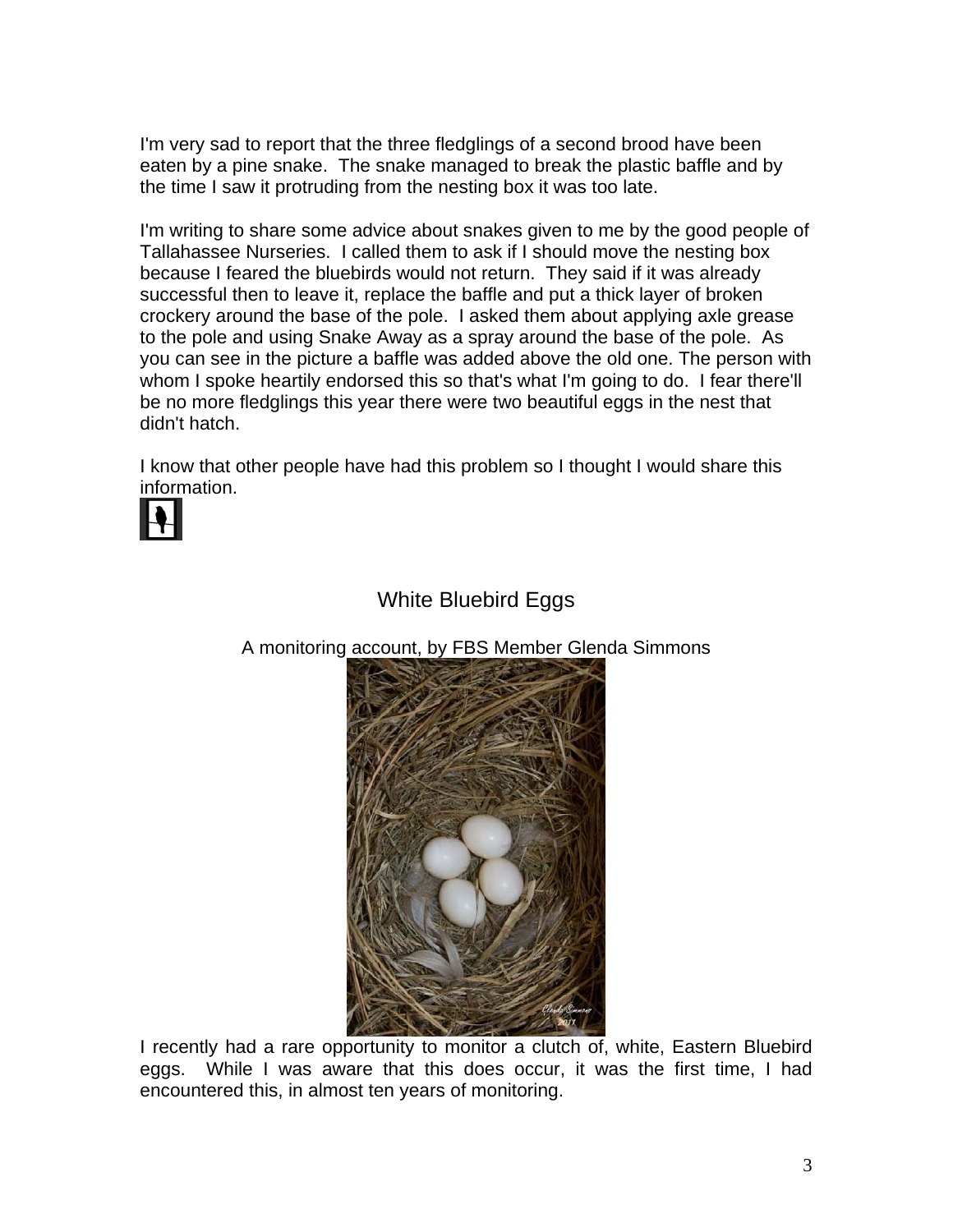I'm very sad to report that the three fledglings of a second brood have been eaten by a pine snake. The snake managed to break the plastic baffle and by the time I saw it protruding from the nesting box it was too late.

I'm writing to share some advice about snakes given to me by the good people of Tallahassee Nurseries. I called them to ask if I should move the nesting box because I feared the bluebirds would not return. They said if it was already successful then to leave it, replace the baffle and put a thick layer of broken crockery around the base of the pole. I asked them about applying axle grease to the pole and using Snake Away as a spray around the base of the pole. As you can see in the picture a baffle was added above the old one. The person with whom I spoke heartily endorsed this so that's what I'm going to do. I fear there'll be no more fledglings this year there were two beautiful eggs in the nest that didn't hatch.

I know that other people have had this problem so I thought I would share this information.



### White Bluebird Eggs

A monitoring account, by FBS Member Glenda Simmons



I recently had a rare opportunity to monitor a clutch of, white, Eastern Bluebird eggs. While I was aware that this does occur, it was the first time, I had encountered this, in almost ten years of monitoring.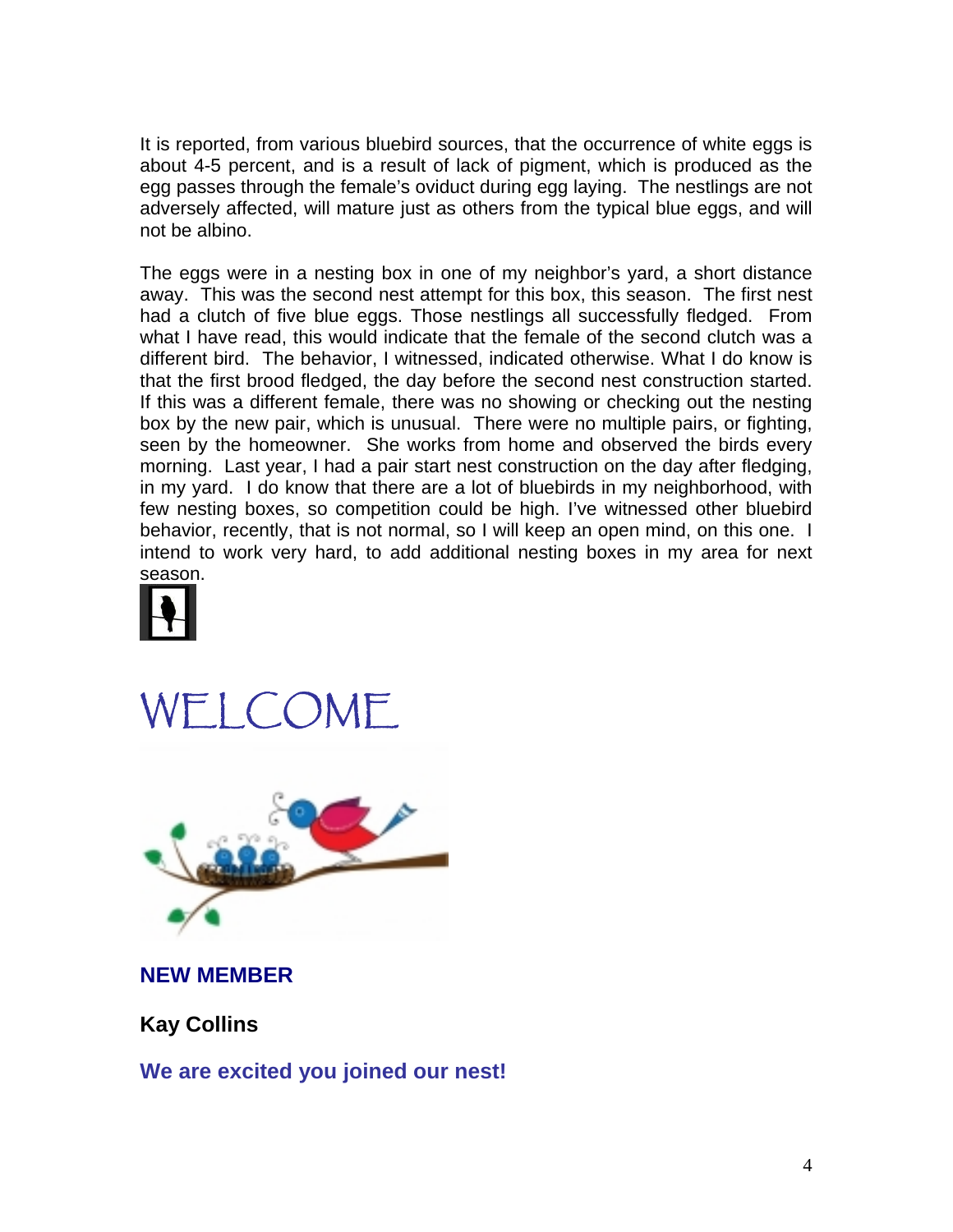It is reported, from various bluebird sources, that the occurrence of white eggs is about 4-5 percent, and is a result of lack of pigment, which is produced as the egg passes through the female's oviduct during egg laying. The nestlings are not adversely affected, will mature just as others from the typical blue eggs, and will not be albino.

The eggs were in a nesting box in one of my neighbor's yard, a short distance away. This was the second nest attempt for this box, this season. The first nest had a clutch of five blue eggs. Those nestlings all successfully fledged. From what I have read, this would indicate that the female of the second clutch was a different bird. The behavior, I witnessed, indicated otherwise. What I do know is that the first brood fledged, the day before the second nest construction started. If this was a different female, there was no showing or checking out the nesting box by the new pair, which is unusual. There were no multiple pairs, or fighting, seen by the homeowner. She works from home and observed the birds every morning. Last year, I had a pair start nest construction on the day after fledging, in my yard. I do know that there are a lot of bluebirds in my neighborhood, with few nesting boxes, so competition could be high. I've witnessed other bluebird behavior, recently, that is not normal, so I will keep an open mind, on this one. I intend to work very hard, to add additional nesting boxes in my area for next season.







**NEW MEMBER** 

**Kay Collins** 

**We are excited you joined our nest!**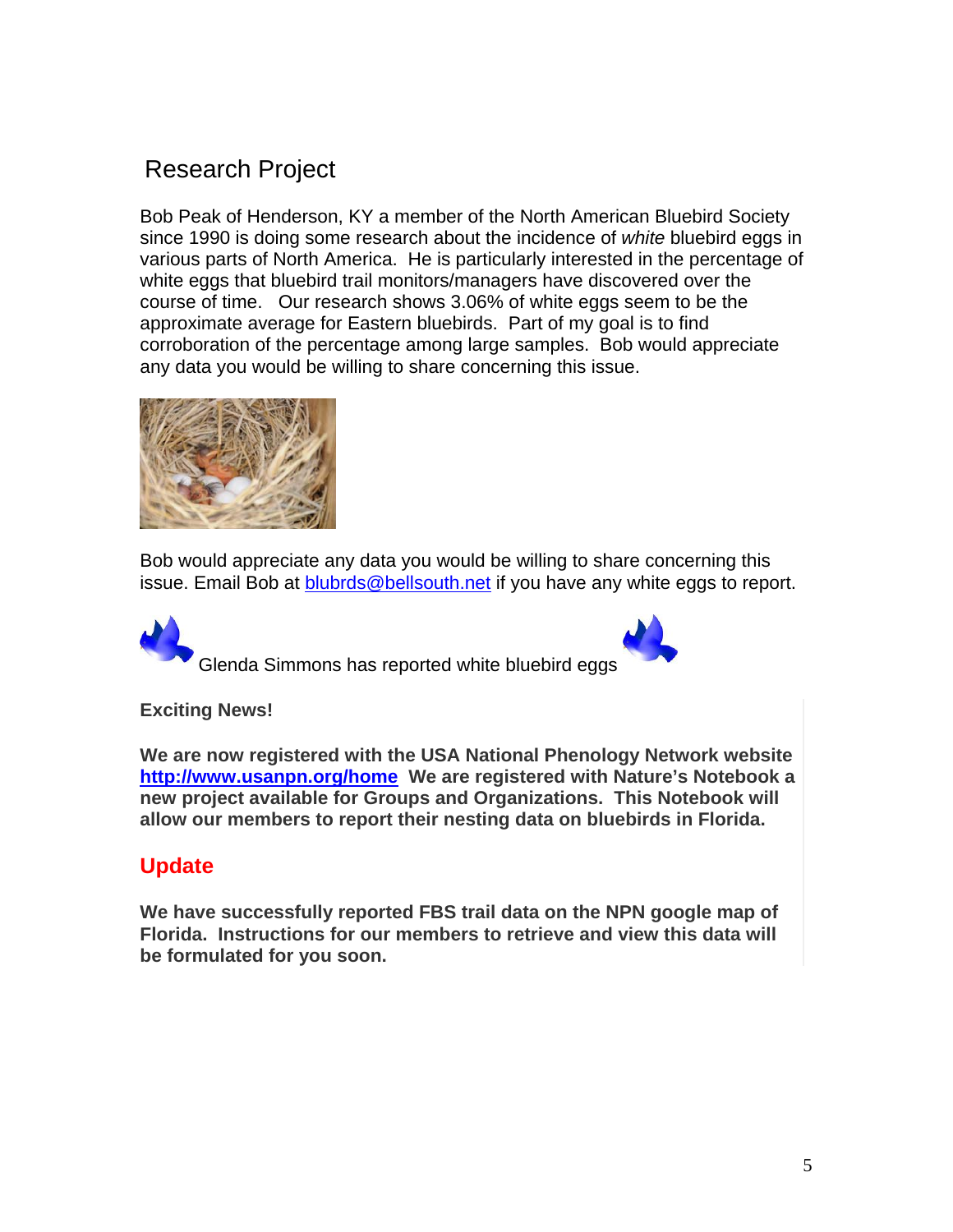## Research Project

Bob Peak of Henderson, KY a member of the North American Bluebird Society since 1990 is doing some research about the incidence of *white* bluebird eggs in various parts of North America. He is particularly interested in the percentage of white eggs that bluebird trail monitors/managers have discovered over the course of time. Our research shows 3.06% of white eggs seem to be the approximate average for Eastern bluebirds. Part of my goal is to find corroboration of the percentage among large samples. Bob would appreciate any data you would be willing to share concerning this issue.



Bob would appreciate any data you would be willing to share concerning this issue. Email Bob at blubrds@bellsouth.net if you have any white eggs to report.

Glenda Simmons has reported white bluebird eggs



#### **Exciting News!**

**We are now registered with the USA National Phenology Network website http://www.usanpn.org/home We are registered with Nature's Notebook a new project available for Groups and Organizations. This Notebook will allow our members to report their nesting data on bluebirds in Florida.** 

### **Update**

**We have successfully reported FBS trail data on the NPN google map of Florida. Instructions for our members to retrieve and view this data will be formulated for you soon.**